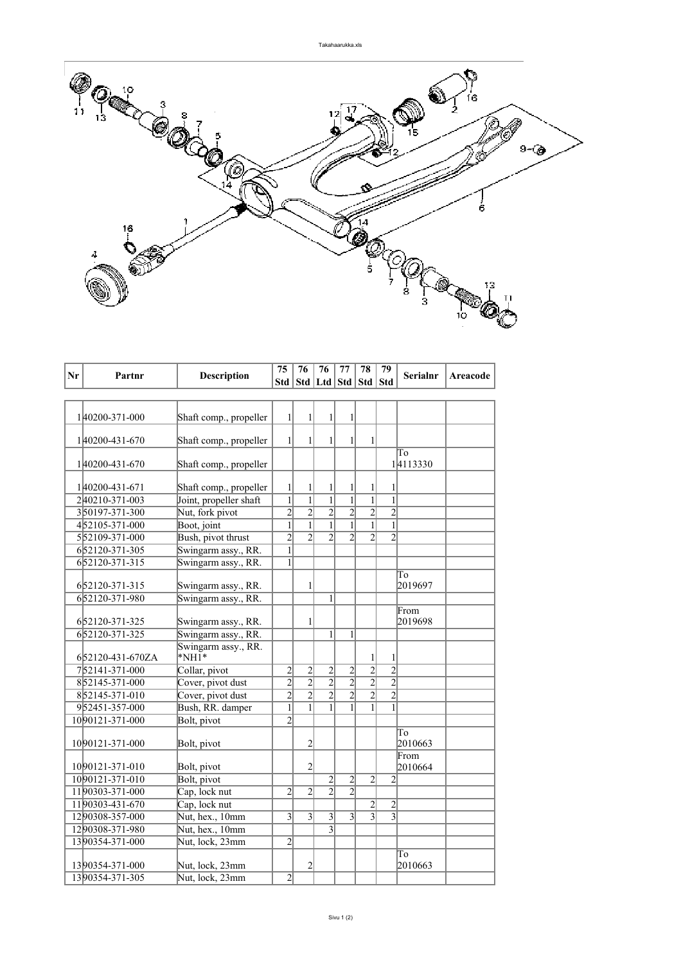

|    |                  |                                                  | 75                  | 76<br>76                         |                                  | 77                               | 78                                | 79                             |                 |          |
|----|------------------|--------------------------------------------------|---------------------|----------------------------------|----------------------------------|----------------------------------|-----------------------------------|--------------------------------|-----------------|----------|
| Nr | Partnr           | <b>Description</b>                               |                     |                                  |                                  |                                  | Std   Std   Ltd   Std   Std   Std |                                | <b>Serialnr</b> | Areacode |
|    |                  |                                                  |                     |                                  |                                  |                                  |                                   |                                |                 |          |
|    |                  |                                                  |                     |                                  |                                  |                                  |                                   |                                |                 |          |
|    | 140200-371-000   | Shaft comp., propeller                           | $1\vert$            | 1                                | 1                                | $\mathbf{1}$                     |                                   |                                |                 |          |
|    |                  |                                                  |                     |                                  |                                  |                                  |                                   |                                |                 |          |
|    | 140200-431-670   | Shaft comp., propeller                           | $\mathbf{1}$        | $\mathbf{1}$                     | $\mathbf{1}$                     | $\mathbf{1}$                     | 1                                 |                                |                 |          |
|    |                  |                                                  |                     |                                  |                                  |                                  |                                   |                                | To              |          |
|    | 140200-431-670   | Shaft comp., propeller                           |                     |                                  |                                  |                                  |                                   |                                | 14113330        |          |
|    | 140200-431-671   |                                                  |                     |                                  |                                  |                                  |                                   |                                |                 |          |
|    | 240210-371-003   | Shaft comp., propeller<br>Joint, propeller shaft | 1<br>$\overline{1}$ | 1<br>$\mathbf{1}$                | 1<br>$\overline{1}$              | 1<br>$\overline{1}$              | 1<br>$\overline{1}$               | 1<br>$\overline{1}$            |                 |          |
|    | 350197-371-300   | Nut, fork pivot                                  | $\overline{2}$      | $\overline{2}$                   | $\overline{2}$                   | $\overline{2}$                   | $\overline{2}$                    | $\overline{2}$                 |                 |          |
|    | 452105-371-000   |                                                  | $\mathbf{1}$        | $\mathbf{1}$                     | $\mathbf{1}$                     | $\mathbf{1}$                     | $\mathbf{1}$                      | $\mathbf{1}$                   |                 |          |
|    |                  | Boot, joint                                      | $\overline{2}$      | $\overline{2}$                   | $\overline{2}$                   |                                  |                                   | $\overline{2}$                 |                 |          |
|    | 552109-371-000   | Bush, pivot thrust                               |                     |                                  |                                  | $\overline{2}$                   | $\overline{2}$                    |                                |                 |          |
|    | 652120-371-305   | Swingarm assy., RR.                              | $\mathbf{1}$        |                                  |                                  |                                  |                                   |                                |                 |          |
|    | 652120-371-315   | Swingarm assy., RR.                              | 1                   |                                  |                                  |                                  |                                   |                                |                 |          |
|    |                  |                                                  |                     |                                  |                                  |                                  |                                   |                                | To              |          |
|    | 652120-371-315   | Swingarm assy., RR.                              |                     | $\mathbf{1}$                     |                                  |                                  |                                   |                                | 2019697         |          |
|    | 652120-371-980   | Swingarm assy., RR.                              |                     |                                  | 1                                |                                  |                                   |                                |                 |          |
|    |                  |                                                  |                     |                                  |                                  |                                  |                                   |                                | From            |          |
|    | 652120-371-325   | Swingarm assy., RR.                              |                     | 1                                |                                  |                                  |                                   |                                | 2019698         |          |
|    | 652120-371-325   | Swingarm assy., RR.                              |                     |                                  | 1                                | $\mathbf{1}$                     |                                   |                                |                 |          |
|    |                  | Swingarm assy., RR.<br>$*NH1*$                   |                     |                                  |                                  |                                  |                                   |                                |                 |          |
|    | 652120-431-670ZA |                                                  |                     |                                  |                                  |                                  | 1                                 | $\mathbf{1}$<br>$\overline{2}$ |                 |          |
|    | 752141-371-000   | Collar, pivot                                    | $\overline{2}$      | $\overline{c}$<br>$\overline{2}$ | $\overline{c}$<br>$\overline{2}$ | $\overline{2}$<br>$\overline{2}$ | $\overline{2}$                    | $\overline{2}$                 |                 |          |
|    | 852145-371-000   | Cover, pivot dust                                | $\overline{2}$      |                                  |                                  |                                  | $\overline{2}$                    | $\overline{2}$                 |                 |          |
|    | 852145-371-010   | Cover, pivot dust                                | $\overline{2}$      | $\overline{2}$                   | $\overline{2}$                   | $\overline{2}$                   | $\overline{2}$                    |                                |                 |          |
|    | 952451-357-000   | Bush, RR. damper                                 | $\overline{1}$      | $\overline{1}$                   | $\overline{1}$                   | $\overline{1}$                   | $\mathbf{1}$                      | $\overline{1}$                 |                 |          |
|    | 1090121-371-000  | Bolt, pivot                                      | $\overline{2}$      |                                  |                                  |                                  |                                   |                                |                 |          |
|    |                  |                                                  |                     |                                  |                                  |                                  |                                   |                                | To              |          |
|    | 10 90121-371-000 | Bolt, pivot                                      |                     | $\overline{c}$                   |                                  |                                  |                                   |                                | 2010663         |          |
|    | 1090121-371-010  |                                                  |                     | $\overline{2}$                   |                                  |                                  |                                   |                                | From            |          |
|    | 1090121-371-010  | Bolt, pivot<br>Bolt, pivot                       |                     |                                  |                                  | $\overline{2}$                   | $\overline{2}$                    | $\overline{2}$                 | 2010664         |          |
|    |                  |                                                  |                     |                                  | $\overline{c}$<br>$\overline{2}$ | $\overline{2}$                   |                                   |                                |                 |          |
|    | 1190303-371-000  | Cap, lock nut                                    | $\overline{2}$      | $\overline{2}$                   |                                  |                                  |                                   |                                |                 |          |
|    | 1190303-431-670  | Cap, lock nut                                    |                     |                                  |                                  |                                  | $\overline{c}$                    | $\overline{c}$                 |                 |          |
|    | 1290308-357-000  | Nut, hex., 10mm                                  | $\overline{3}$      | 3                                | $\overline{3}$                   | 3                                | 3                                 | $\overline{3}$                 |                 |          |
|    | 1290308-371-980  | Nut, hex., 10mm                                  |                     |                                  | $\overline{3}$                   |                                  |                                   |                                |                 |          |
|    | 1390354-371-000  | Nut, lock, 23mm                                  | $\overline{2}$      |                                  |                                  |                                  |                                   |                                |                 |          |
|    |                  |                                                  |                     |                                  |                                  |                                  |                                   |                                | To              |          |
|    | 1390354-371-000  | Nut, lock, 23mm                                  |                     | $\overline{c}$                   |                                  |                                  |                                   |                                | 2010663         |          |
|    | 1390354-371-305  | Nut, lock, 23mm                                  | $\overline{2}$      |                                  |                                  |                                  |                                   |                                |                 |          |